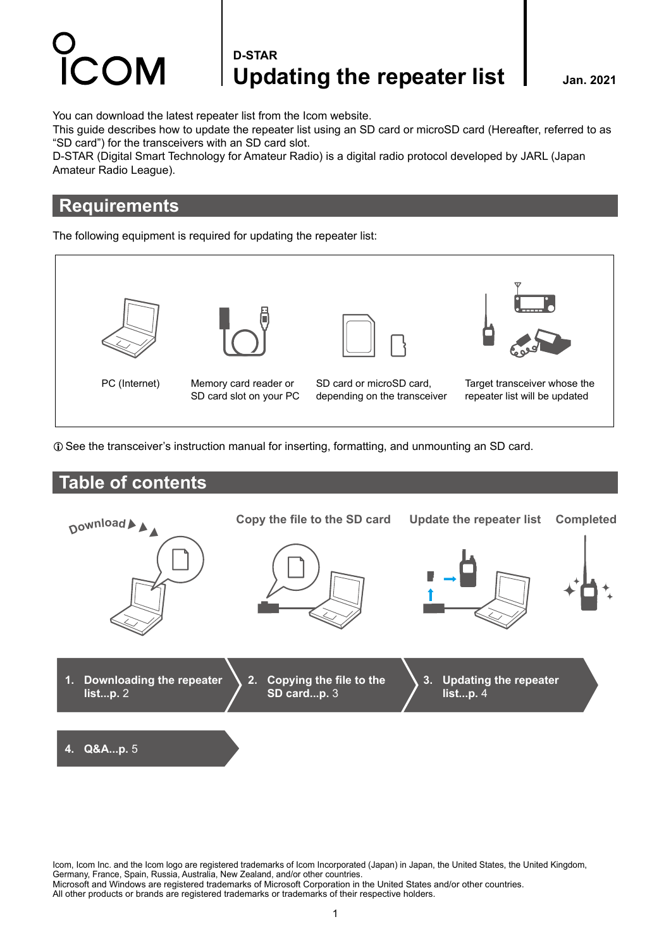### **D-STAR** Updating the repeater list | Jan. 2021

You can download the latest repeater list from the Icom website.

This guide describes how to update the repeater list using an SD card or microSD card (Hereafter, referred to as "SD card") for the transceivers with an SD card slot.

D-STAR (Digital Smart Technology for Amateur Radio) is a digital radio protocol developed by JARL (Japan Amateur Radio League).

### **Requirements**

The following equipment is required for updating the repeater list:



LSee the transceiver's instruction manual for inserting, formatting, and unmounting an SD card.

### **Table of contents**



Icom, Icom Inc. and the Icom logo are registered trademarks of Icom Incorporated (Japan) in Japan, the United States, the United Kingdom, Germany, France, Spain, Russia, Australia, New Zealand, and/or other countries. Microsoft and Windows are registered trademarks of Microsoft Corporation in the United States and/or other countries. All other products or brands are registered trademarks or trademarks of their respective holders.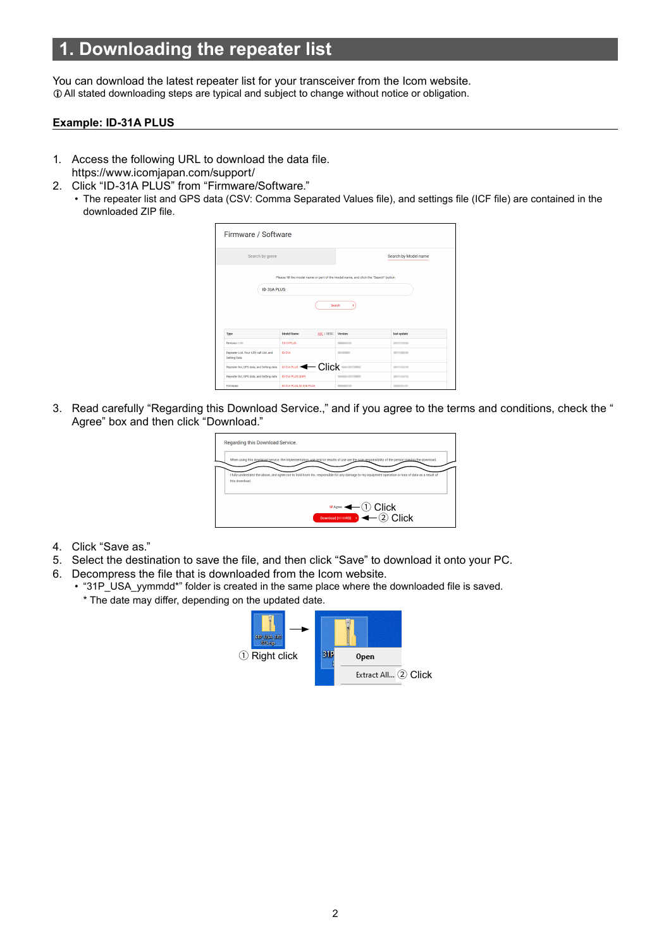## <span id="page-1-0"></span>**1. Downloading the repeater list**

You can download the latest repeater list for your transceiver from the Icom website.  $\oplus$  All stated downloading steps are typical and subject to change without notice or obligation.

#### **Example: ID-31A PLUS**

- 1. Access the following URL to download the data file. https://www.icomjapan.com/support/
- 2. Click "ID-31A PLUS" from "Firmware/Software."
	- The repeater list and GPS data (CSV: Comma Separated Values file), and settings file (ICF file) are contained in the downloaded ZIP file.

| Firmware / Software                                            |                                        |                                                                                     |                                                                                                                |
|----------------------------------------------------------------|----------------------------------------|-------------------------------------------------------------------------------------|----------------------------------------------------------------------------------------------------------------|
| Search by genre                                                |                                        | Search by Model name                                                                |                                                                                                                |
| ID-31A PLUS                                                    |                                        | Please fill the model name or part of the model name, and click the "Search" button |                                                                                                                |
|                                                                |                                        | Search<br>s                                                                         |                                                                                                                |
| Type                                                           | <b>Model Name</b><br>ASC / DESC        | Version                                                                             | last update                                                                                                    |
| Revision                                                       | <b>CS-31PLUS</b>                       | <b>School II</b>                                                                    | <b>BELLEVILLE</b>                                                                                              |
| Repeater List, Your (UR) call List, and<br><b>Setting Data</b> | <b>ID-31A</b>                          | <b>START OF THE OWNER.</b>                                                          | <b>STATISTICS</b>                                                                                              |
| Repeater list, GPS data, and Setting data                      | Click<br>$\leftarrow$<br>ID-31A PLUS + |                                                                                     | $\frac{1}{2} \left( \frac{1}{2} \right) \left( \frac{1}{2} \right) \left( \frac{1}{2} \right)$<br><b>STATE</b> |
| Repeater list, GPS data, and Setting data                      | ID-31A PLUS (EXP)                      |                                                                                     | ---                                                                                                            |
| Firmware                                                       | ID-31A PLUS, ID-31E PLUS               | <b>Ballyman Till</b>                                                                | <b>HOLLYWOOD</b>                                                                                               |

3. Read carefully "Regarding this Download Service.," and if you agree to the terms and conditions, check the " Agree" box and then click "Download."

| Regarding this Download Service. |                                                                                                                                                   |
|----------------------------------|---------------------------------------------------------------------------------------------------------------------------------------------------|
|                                  | When using this download service, the implementation, use and/or results of use are the sole responsibility of the person making the download.    |
|                                  | I fully understand the above, and agree not to hold icom Inc. responsible for any damage to my equipment operation or loss of data as a result of |
| this download.                   |                                                                                                                                                   |
|                                  | $(1)$ Click                                                                                                                                       |
|                                  | Agree                                                                                                                                             |
|                                  | Download $(\kappa_B)$ $\leftarrow$ (2) Click                                                                                                      |

- 4. Click "Save as."
- 5. Select the destination to save the file, and then click "Save" to download it onto your PC.
- 6. Decompress the file that is downloaded from the Icom website.
	- "31P\_USA\_yymmdd\*" folder is created in the same place where the downloaded file is saved.
		- \* The date may differ, depending on the updated date.

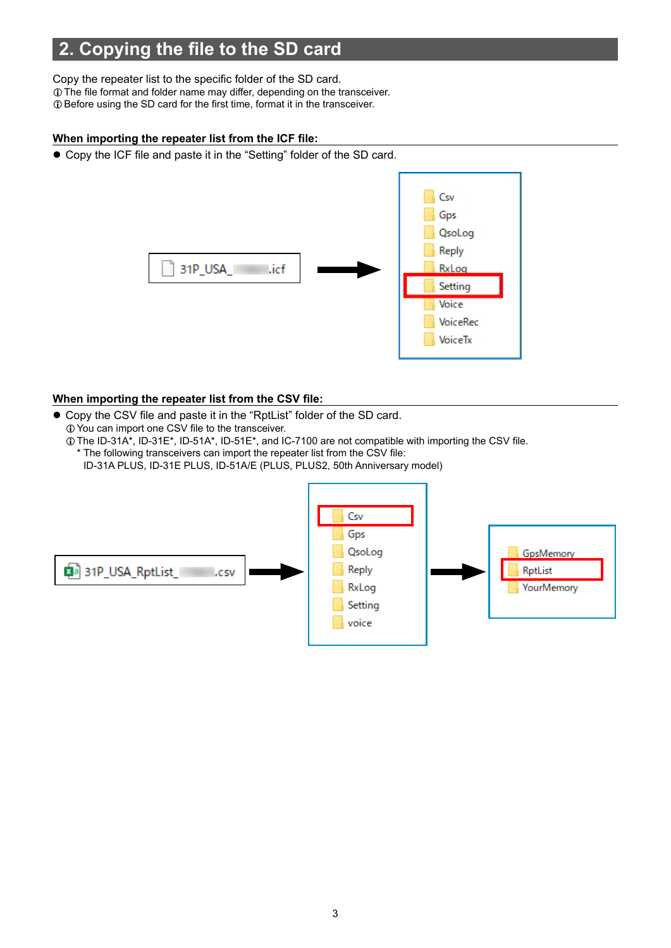# <span id="page-2-0"></span>**2. Copying the file to the SD card**

Copy the repeater list to the specific folder of the SD card.  $\odot$  The file format and folder name may differ, depending on the transceiver.  $\odot$  Before using the SD card for the first time, format it in the transceiver.

#### **When importing the repeater list from the ICF file:**

• Copy the ICF file and paste it in the "Setting" folder of the SD card.



#### **When importing the repeater list from the CSV file:**

- Copy the CSV file and paste it in the "RptList" folder of the SD card.  $\odot$  You can import one CSV file to the transceiver.
	- LThe ID-31A\*, ID-31E\*, ID-51A\*, ID-51E\*, and IC-7100 are not compatible with importing the CSV file. \* The following transceivers can import the repeater list from the CSV file:
		- ID-31A PLUS, ID-31E PLUS, ID-51A/E (PLUS, PLUS2, 50th Anniversary model)

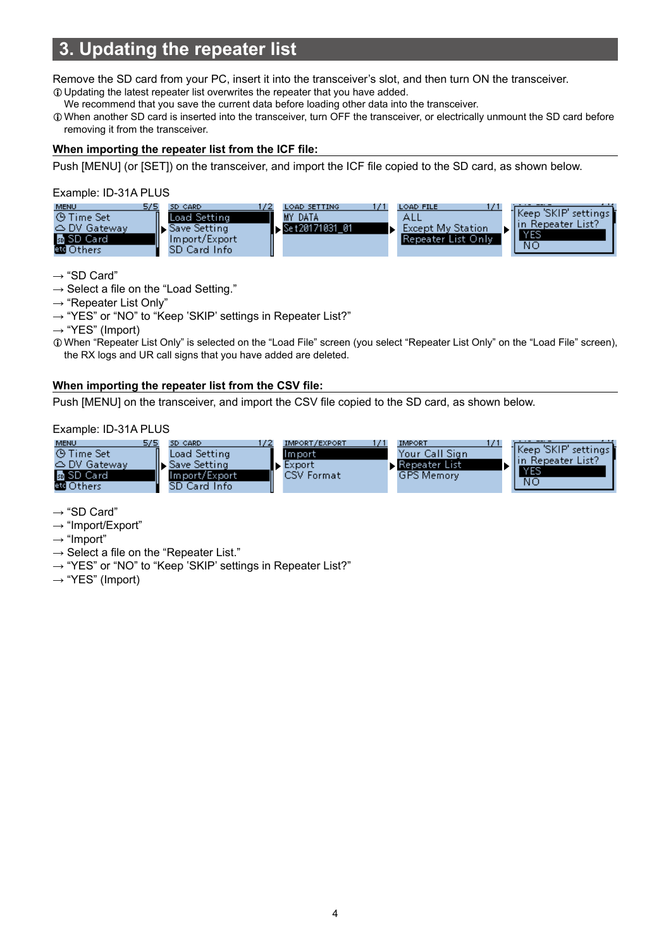# <span id="page-3-0"></span>**3. Updating the repeater list**

Remove the SD card from your PC, insert it into the transceiver's slot, and then turn ON the transceiver. LUpdating the latest repeater list overwrites the repeater that you have added.

We recommend that you save the current data before loading other data into the transceiver.

LWhen another SD card is inserted into the transceiver, turn OFF the transceiver, or electrically unmount the SD card before removing it from the transceiver.

#### **When importing the repeater list from the ICF file:**

Push [MENU] (or [SET]) on the transceiver, and import the ICF file copied to the SD card, as shown below.

Example: ID-31A PLUS



 $\rightarrow$  "SD Card"

 $\rightarrow$  Select a file on the "Load Setting."

- $\rightarrow$  "Repeater List Only"
- $\rightarrow$  "YES" or "NO" to "Keep 'SKIP' settings in Repeater List?"

 $\rightarrow$  "YES" (Import)

LWhen "Repeater List Only" is selected on the "Load File" screen (you select "Repeater List Only" on the "Load File" screen), the RX logs and UR call signs that you have added are deleted.

#### **When importing the repeater list from the CSV file:**

Push [MENU] on the transceiver, and import the CSV file copied to the SD card, as shown below.

Example: ID-31A PLUS



 $\rightarrow$  "SD Card"

 $\rightarrow$  "Import/Export"

 $\rightarrow$  "Import"

- $\rightarrow$  Select a file on the "Repeater List."
- $\rightarrow$  "YES" or "NO" to "Keep 'SKIP' settings in Repeater List?"
- $\rightarrow$  "YES" (Import)